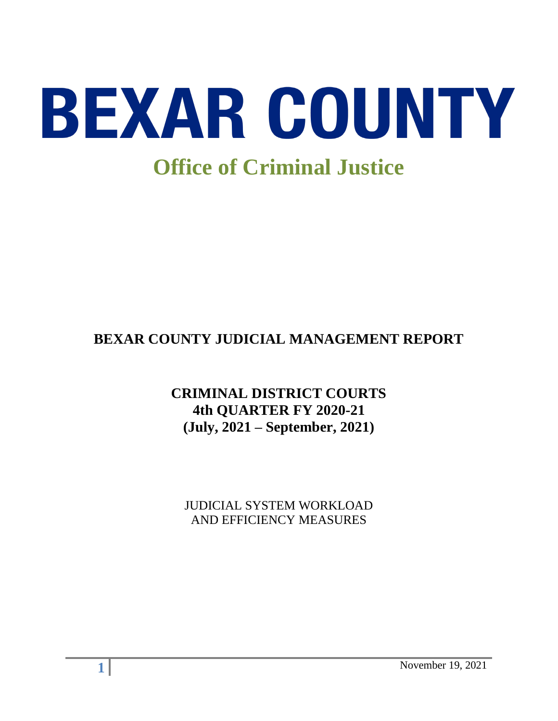

# **BEXAR COUNTY JUDICIAL MANAGEMENT REPORT**

# **CRIMINAL DISTRICT COURTS 4th QUARTER FY 2020-21 (July, 2021 – September, 2021)**

JUDICIAL SYSTEM WORKLOAD AND EFFICIENCY MEASURES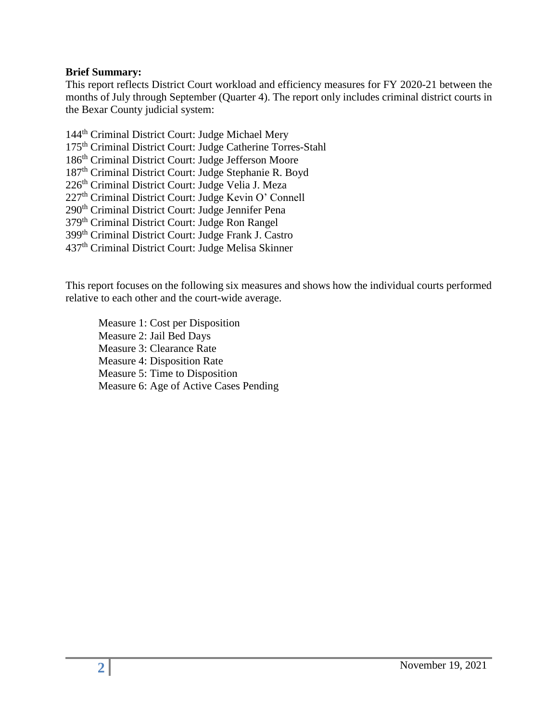#### **Brief Summary:**

This report reflects District Court workload and efficiency measures for FY 2020-21 between the months of July through September (Quarter 4). The report only includes criminal district courts in the Bexar County judicial system:

144<sup>th</sup> Criminal District Court: Judge Michael Mery th Criminal District Court: Judge Catherine Torres-Stahl th Criminal District Court: Judge Jefferson Moore th Criminal District Court: Judge Stephanie R. Boyd 226<sup>th</sup> Criminal District Court: Judge Velia J. Meza th Criminal District Court: Judge Kevin O' Connell 290<sup>th</sup> Criminal District Court: Judge Jennifer Pena th Criminal District Court: Judge Ron Rangel th Criminal District Court: Judge Frank J. Castro th Criminal District Court: Judge Melisa Skinner

This report focuses on the following six measures and shows how the individual courts performed relative to each other and the court-wide average.

Measure 1: Cost per Disposition Measure 2: Jail Bed Days Measure 3: Clearance Rate Measure 4: Disposition Rate Measure 5: Time to Disposition Measure 6: Age of Active Cases Pending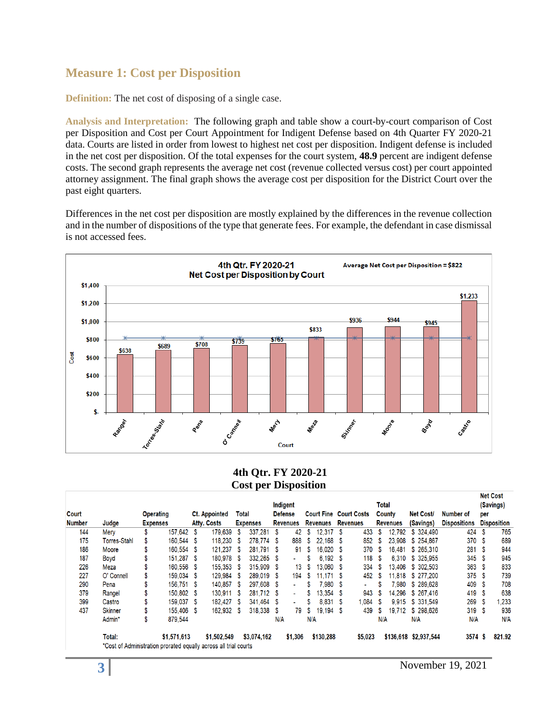### **Measure 1: Cost per Disposition**

**Definition:** The net cost of disposing of a single case.

**Analysis and Interpretation:** The following graph and table show a court-by-court comparison of Cost per Disposition and Cost per Court Appointment for Indigent Defense based on 4th Quarter FY 2020-21 data. Courts are listed in order from lowest to highest net cost per disposition. Indigent defense is included in the net cost per disposition. Of the total expenses for the court system, **48.9** percent are indigent defense costs. The second graph represents the average net cost (revenue collected versus cost) per court appointed attorney assignment. The final graph shows the average cost per disposition for the District Court over the past eight quarters.

Differences in the net cost per disposition are mostly explained by the differences in the revenue collection and in the number of dispositions of the type that generate fees. For example, the defendant in case dismissal is not accessed fees.



#### **4th Qtr. FY 2020-21 Cost per Disposition**

|               |                                                                  |                  |             |      |                      |    |                 |                |                 |     |                 |    |                               |       |                 |                       |                     |      | <b>NET COST</b>    |
|---------------|------------------------------------------------------------------|------------------|-------------|------|----------------------|----|-----------------|----------------|-----------------|-----|-----------------|----|-------------------------------|-------|-----------------|-----------------------|---------------------|------|--------------------|
|               |                                                                  |                  |             |      |                      |    |                 | Indigent       |                 |     |                 |    |                               | Total |                 |                       |                     |      | (Savings)          |
| Court         |                                                                  | <b>Operating</b> |             |      | <b>Ct. Appointed</b> |    | Total           | <b>Defense</b> |                 |     |                 |    | <b>Court Fine Court Costs</b> |       | County          | <b>Net Cost/</b>      | Number of           | per  |                    |
| <b>Number</b> | Judge                                                            | <b>Expenses</b>  |             |      | Atty. Costs          |    | <b>Expenses</b> |                | <b>Revenues</b> |     | <b>Revenues</b> |    | <b>Revenues</b>               |       | <b>Revenues</b> | (Savings)             | <b>Dispositions</b> |      | <b>Disposition</b> |
| 144           | Mery                                                             |                  | 157.642 \$  |      | 179,639              | S  | 337,281         | S              | 42              | S.  | 12.317          | -S | 433                           | -S    | 12,792          | \$ 324,490            | 424S                |      | 765                |
| 175           | <b>Torres-Stahl</b>                                              |                  | 160.544 \$  |      | 118,230              | S. | 278.774         | S.             | 888             | s   | 22.168          | -S | 852                           | -S    | 23.908          | \$254,867             | 370 \$              |      | 689                |
| 186           | Moore                                                            |                  | 160,554 \$  |      | 121,237              | S  | 281,791         | -S             | 91              | s   | 16.020          |    | 370                           | -S    | 16,481          | \$265.310             | 281                 |      | 944                |
| 187           | Boyd                                                             |                  | 151.287 \$  |      | 180.978              | -S | 332.265         | -S             | ÷.              | S   | $6.192$ \$      |    | 118                           | -S    | 6.310           | \$ 325,955            | 345S                |      | 945                |
| 226           | Meza                                                             |                  | 160.556 \$  |      | 155,353              | S  | 315,909         | -S             | 13              | S   | 13.060          | S  | 334                           | S     | 13.406          | \$ 302,503            | 363 <sup>5</sup>    |      | 833                |
| 227           | O' Connell                                                       |                  | 159.034 \$  |      | 129.984              | S  | 289.019         | -S             | 194             | S   | 11.171 S        |    | 452                           | -S    | 11.818          | \$ 277,200            | 375                 | - \$ | 739                |
| 290           | Pena                                                             |                  | 156.751     | - \$ | 140.857              | S  | 297.608         | S              |                 |     | 7.980           | S. | ٠                             |       | 7.980           | \$289,628             | 409                 |      | 708                |
| 379           | Rangel                                                           |                  | 150.802 \$  |      | 130.911              | S  | 281.712         | -S             |                 |     | 13.354          | S  | 943                           |       | 14.296          | \$267.416             | 419                 |      | 638                |
| 399           | Castro                                                           |                  | 159.037 \$  |      | 182,427              | S  | 341.464         | S              |                 |     | 8.831           | -S | .084                          | S     | 9.915           | \$ 331.549            | 269                 |      | .233               |
| 437           | <b>Skinner</b>                                                   |                  | 155.406 \$  |      | 162.932              | S  | 318,338         | S              | 79              | S   | 19.194          | S  | 439                           | S     | 19.712          | \$298,626             | 319S                |      | 936                |
|               | Admin*                                                           | \$               | 879.544     |      |                      |    |                 | N/A            |                 | N/A |                 |    |                               | N/A   |                 | N/A                   | N/A                 |      | N/A                |
|               | Total:                                                           |                  | \$1,571,613 |      | \$1,502,549          |    | \$3,074,162     |                | \$1,306         |     | \$130,288       |    | \$5,023                       |       |                 | \$136,618 \$2,937,544 | 3574S               |      | 821.92             |
|               | *Cost of Administration prorated equally across all trial courts |                  |             |      |                      |    |                 |                |                 |     |                 |    |                               |       |                 |                       |                     |      |                    |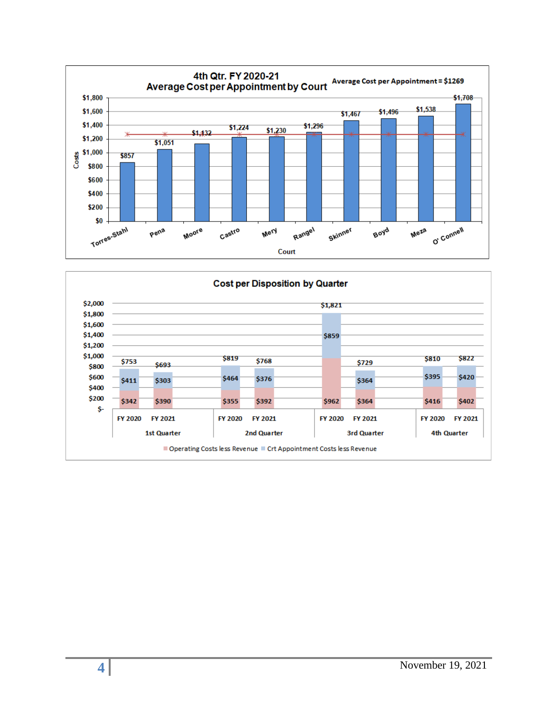

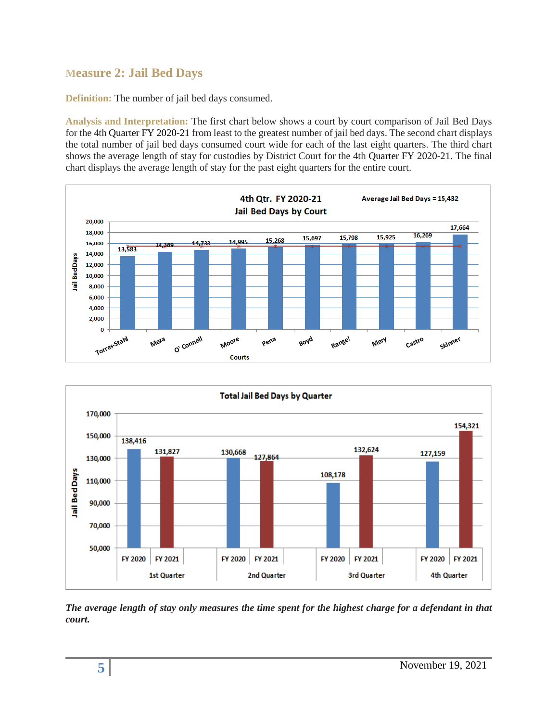# **Measure 2: Jail Bed Days**

**Definition:** The number of jail bed days consumed.

**Analysis and Interpretation:** The first chart below shows a court by court comparison of Jail Bed Days for the 4th Quarter FY 2020-21 from least to the greatest number of jail bed days. The second chart displays the total number of jail bed days consumed court wide for each of the last eight quarters. The third chart shows the average length of stay for custodies by District Court for the 4th Quarter FY 2020-21. The final chart displays the average length of stay for the past eight quarters for the entire court.





*The average length of stay only measures the time spent for the highest charge for a defendant in that court.*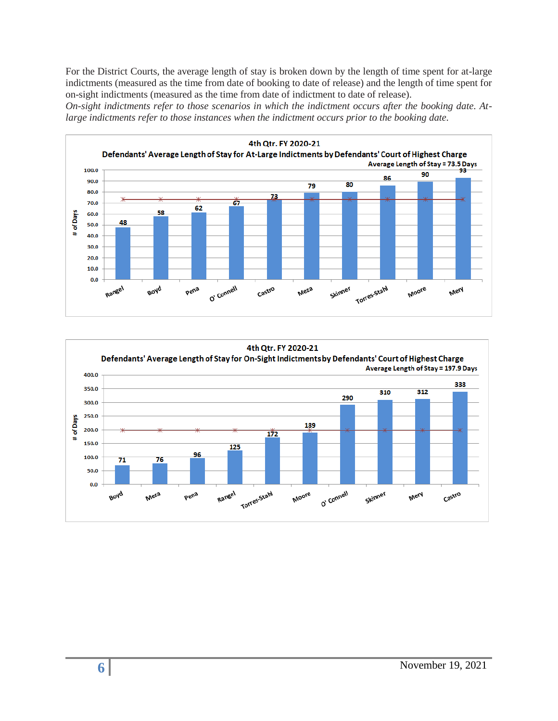For the District Courts, the average length of stay is broken down by the length of time spent for at-large indictments (measured as the time from date of booking to date of release) and the length of time spent for on-sight indictments (measured as the time from date of indictment to date of release).

*On-sight indictments refer to those scenarios in which the indictment occurs after the booking date. Atlarge indictments refer to those instances when the indictment occurs prior to the booking date.* 



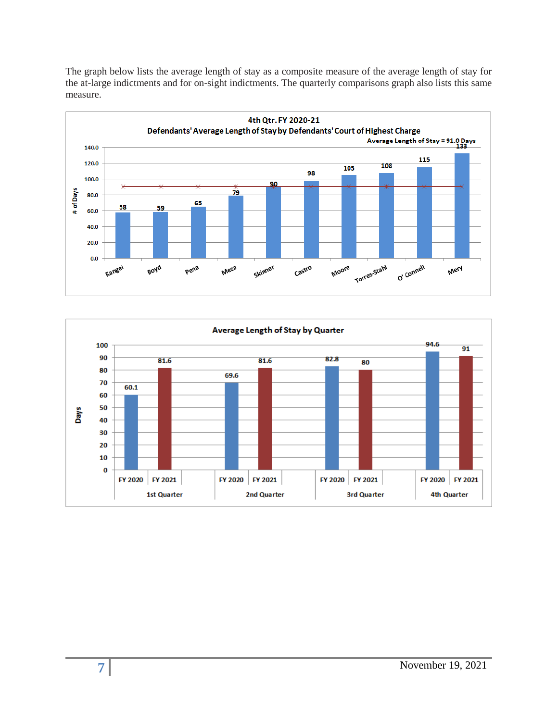The graph below lists the average length of stay as a composite measure of the average length of stay for the at-large indictments and for on-sight indictments. The quarterly comparisons graph also lists this same measure.



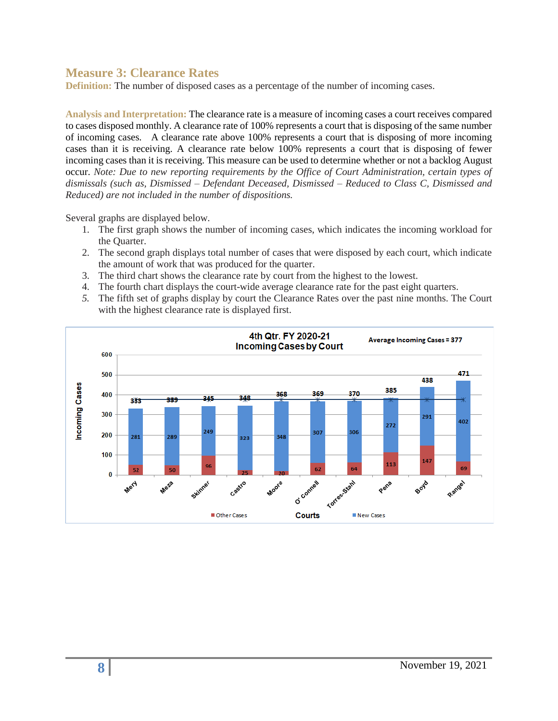#### **Measure 3: Clearance Rates**

**Definition:** The number of disposed cases as a percentage of the number of incoming cases.

**Analysis and Interpretation:** The clearance rate is a measure of incoming cases a court receives compared to cases disposed monthly. A clearance rate of 100% represents a court that is disposing of the same number of incoming cases. A clearance rate above 100% represents a court that is disposing of more incoming cases than it is receiving. A clearance rate below 100% represents a court that is disposing of fewer incoming cases than it is receiving. This measure can be used to determine whether or not a backlog August occur. *Note: Due to new reporting requirements by the Office of Court Administration, certain types of dismissals (such as, Dismissed – Defendant Deceased, Dismissed – Reduced to Class C, Dismissed and Reduced) are not included in the number of dispositions.*

Several graphs are displayed below.

- 1. The first graph shows the number of incoming cases, which indicates the incoming workload for the Quarter.
- 2. The second graph displays total number of cases that were disposed by each court, which indicate the amount of work that was produced for the quarter.
- 3. The third chart shows the clearance rate by court from the highest to the lowest.
- 4. The fourth chart displays the court-wide average clearance rate for the past eight quarters.
- *5.* The fifth set of graphs display by court the Clearance Rates over the past nine months. The Court with the highest clearance rate is displayed first.

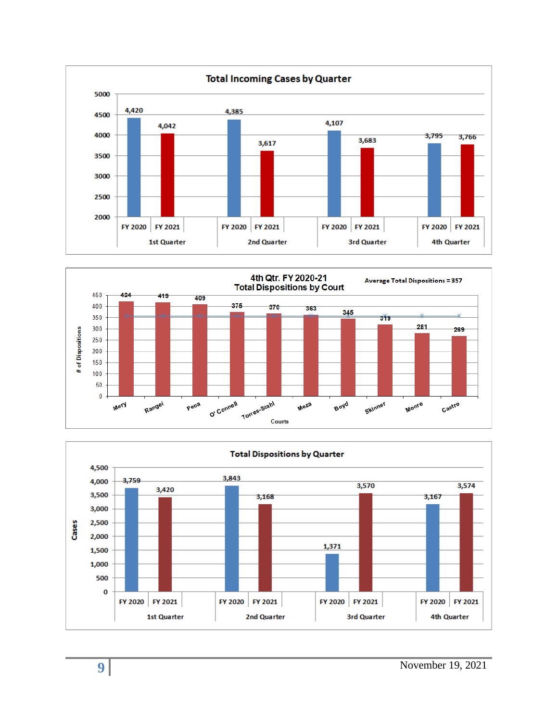



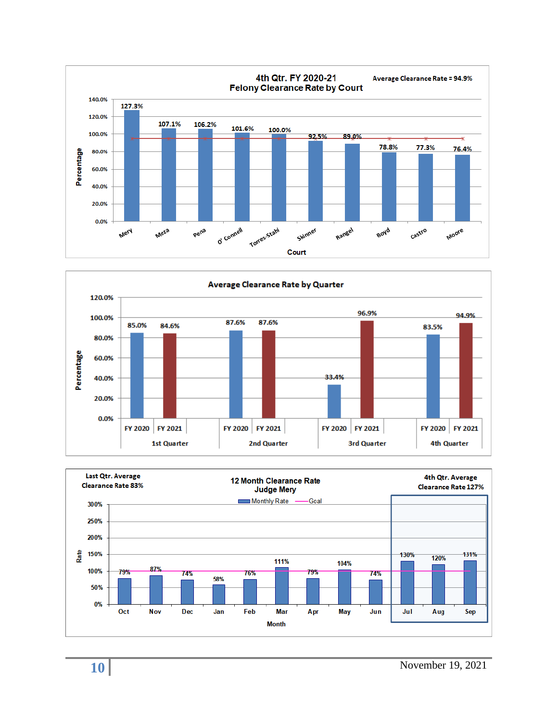



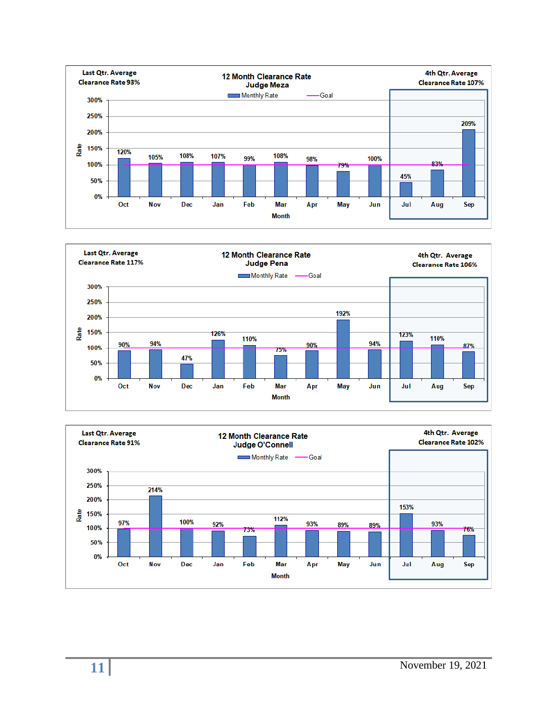



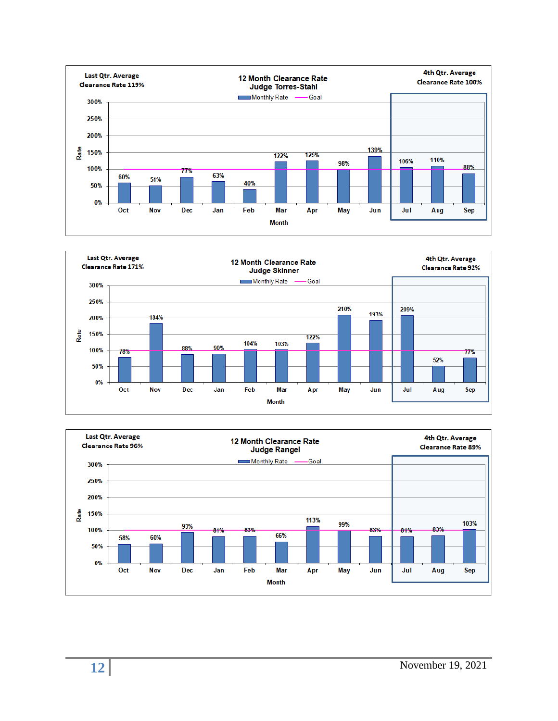



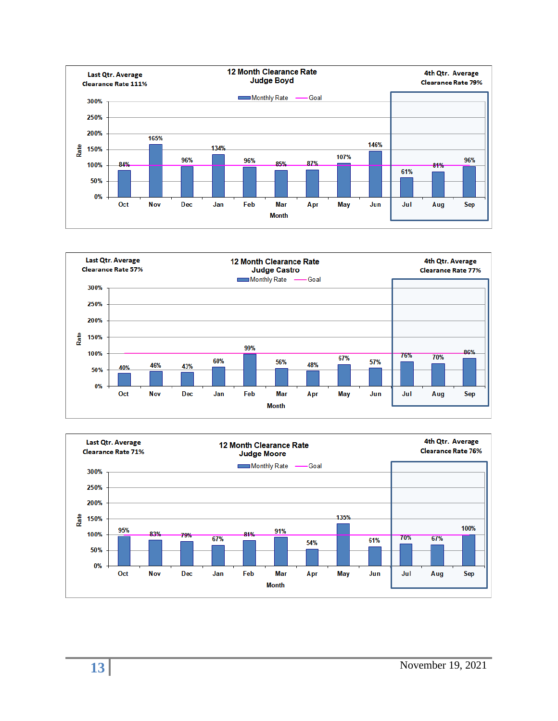



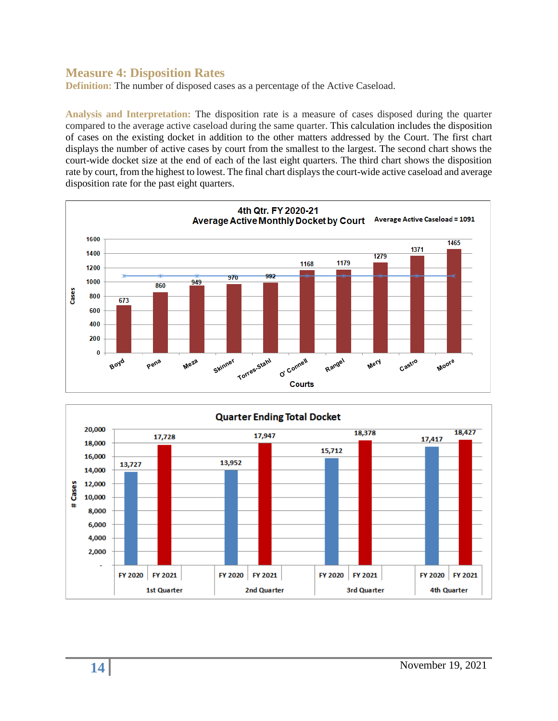#### **Measure 4: Disposition Rates**

**Definition:** The number of disposed cases as a percentage of the Active Caseload.

**Analysis and Interpretation:** The disposition rate is a measure of cases disposed during the quarter compared to the average active caseload during the same quarter. This calculation includes the disposition of cases on the existing docket in addition to the other matters addressed by the Court. The first chart displays the number of active cases by court from the smallest to the largest. The second chart shows the court-wide docket size at the end of each of the last eight quarters. The third chart shows the disposition rate by court, from the highest to lowest. The final chart displays the court-wide active caseload and average disposition rate for the past eight quarters.



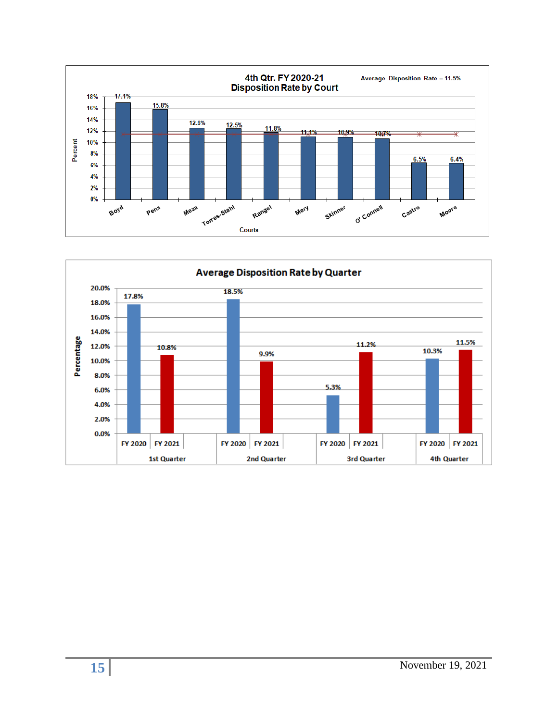

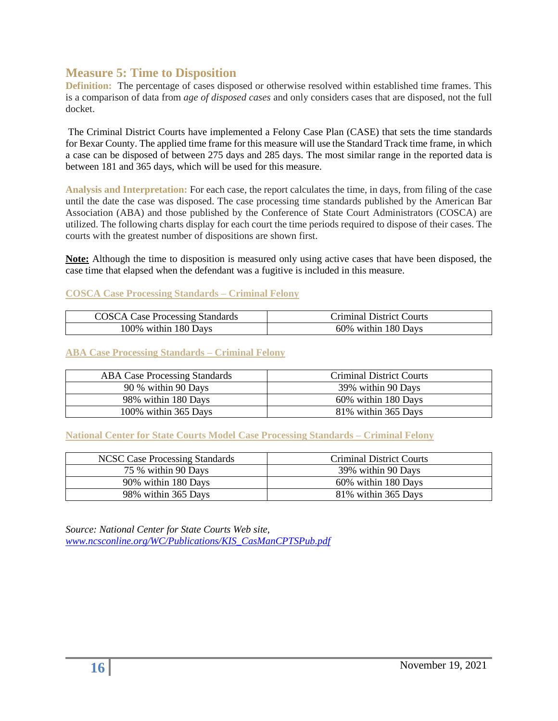#### **Measure 5: Time to Disposition**

**Definition:** The percentage of cases disposed or otherwise resolved within established time frames. This is a comparison of data from *age of disposed cases* and only considers cases that are disposed, not the full docket.

The Criminal District Courts have implemented a Felony Case Plan (CASE) that sets the time standards for Bexar County. The applied time frame for this measure will use the Standard Track time frame, in which a case can be disposed of between 275 days and 285 days. The most similar range in the reported data is between 181 and 365 days, which will be used for this measure.

**Analysis and Interpretation:** For each case, the report calculates the time, in days, from filing of the case until the date the case was disposed. The case processing time standards published by the American Bar Association (ABA) and those published by the Conference of State Court Administrators (COSCA) are utilized. The following charts display for each court the time periods required to dispose of their cases. The courts with the greatest number of dispositions are shown first.

**Note:** Although the time to disposition is measured only using active cases that have been disposed, the case time that elapsed when the defendant was a fugitive is included in this measure.

#### **COSCA Case Processing Standards – Criminal Felony**

| <b>COSCA Case Processing Standards</b> | <b>Criminal District Courts</b> |
|----------------------------------------|---------------------------------|
| 100% within 180 Days                   | 60% within 180 Days             |

#### **ABA Case Processing Standards – Criminal Felony**

| <b>ABA Case Processing Standards</b> | <b>Criminal District Courts</b> |
|--------------------------------------|---------------------------------|
| 90 % within 90 Days                  | 39% within 90 Days              |
| 98% within 180 Days                  | 60% within 180 Days             |
| 100% within 365 Days                 | 81% within 365 Days             |

#### **National Center for State Courts Model Case Processing Standards – Criminal Felony**

| <b>NCSC Case Processing Standards</b> | <b>Criminal District Courts</b> |
|---------------------------------------|---------------------------------|
| 75 % within 90 Days                   | 39% within 90 Days              |
| 90% within 180 Days                   | 60% within 180 Days             |
| 98% within 365 Days                   | 81% within 365 Days             |

*Source: National Center for State Courts Web site, [www.ncsconline.org/WC/Publications/KIS\\_CasManCPTSPub.pdf](http://www.ncsconline.org/WC/Publications/KIS_CasManCPTSPub.pdf)*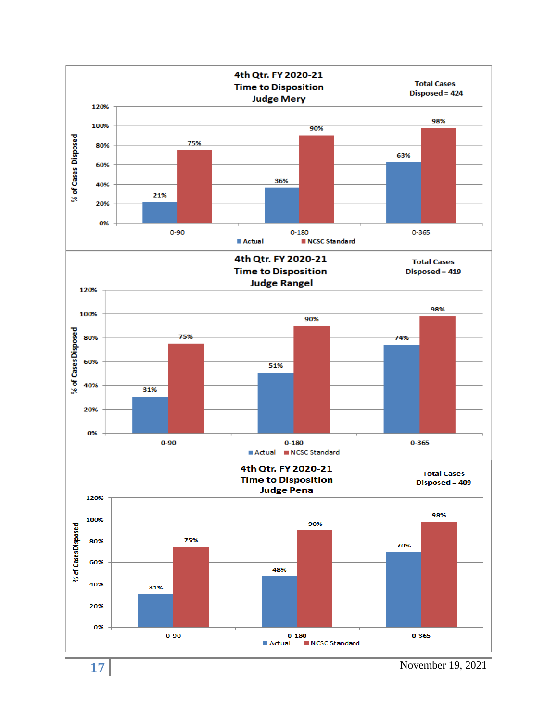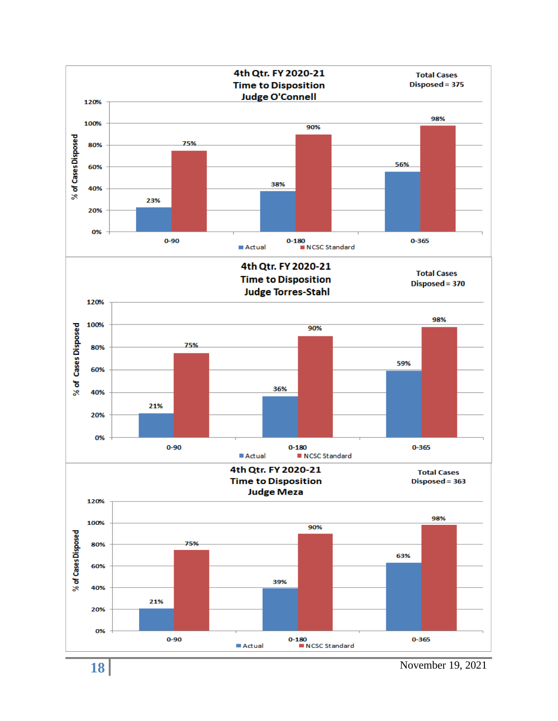

November 19, 2021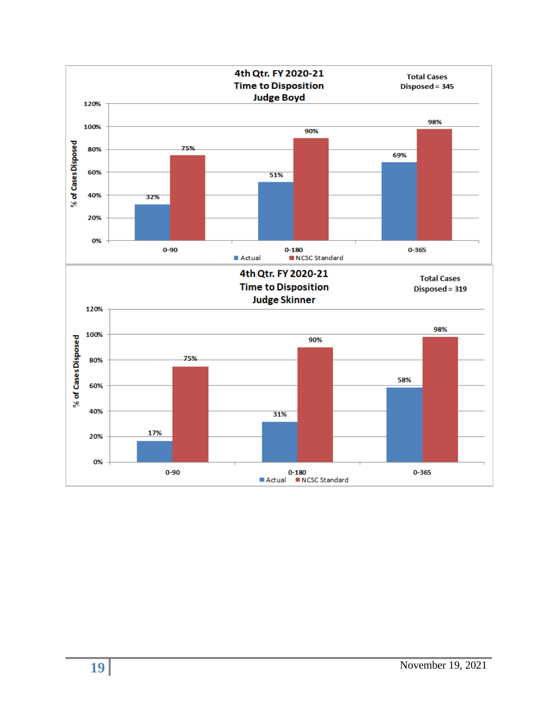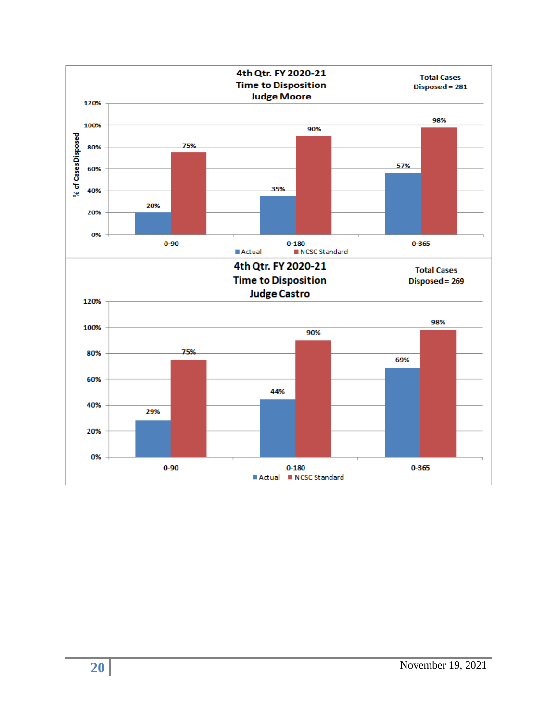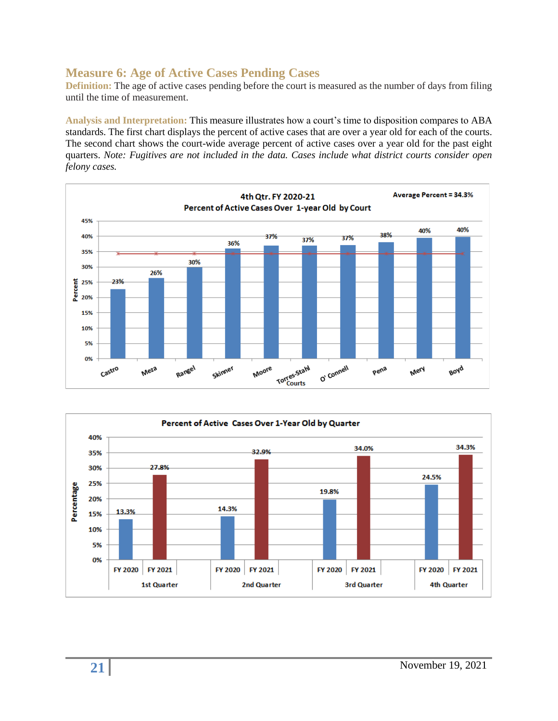# **Measure 6: Age of Active Cases Pending Cases**

**Definition:** The age of active cases pending before the court is measured as the number of days from filing until the time of measurement.

**Analysis and Interpretation:** This measure illustrates how a court's time to disposition compares to ABA standards. The first chart displays the percent of active cases that are over a year old for each of the courts. The second chart shows the court-wide average percent of active cases over a year old for the past eight quarters. *Note: Fugitives are not included in the data. Cases include what district courts consider open felony cases.*



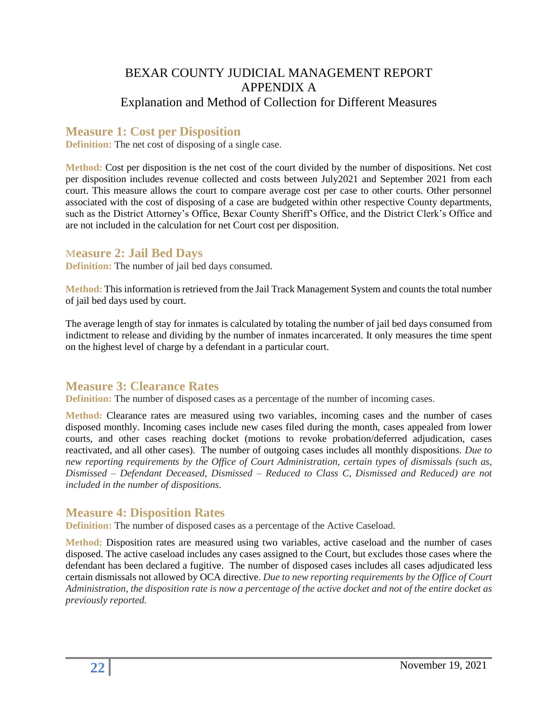# BEXAR COUNTY JUDICIAL MANAGEMENT REPORT APPENDIX A Explanation and Method of Collection for Different Measures

# **Measure 1: Cost per Disposition**

**Definition:** The net cost of disposing of a single case.

**Method:** Cost per disposition is the net cost of the court divided by the number of dispositions. Net cost per disposition includes revenue collected and costs between July2021 and September 2021 from each court. This measure allows the court to compare average cost per case to other courts. Other personnel associated with the cost of disposing of a case are budgeted within other respective County departments, such as the District Attorney's Office, Bexar County Sheriff's Office, and the District Clerk's Office and are not included in the calculation for net Court cost per disposition.

#### **Measure 2: Jail Bed Days**

**Definition:** The number of jail bed days consumed.

**Method:** This information is retrieved from the Jail Track Management System and counts the total number of jail bed days used by court.

The average length of stay for inmates is calculated by totaling the number of jail bed days consumed from indictment to release and dividing by the number of inmates incarcerated. It only measures the time spent on the highest level of charge by a defendant in a particular court.

# **Measure 3: Clearance Rates**

**Definition:** The number of disposed cases as a percentage of the number of incoming cases.

**Method:** Clearance rates are measured using two variables, incoming cases and the number of cases disposed monthly. Incoming cases include new cases filed during the month, cases appealed from lower courts, and other cases reaching docket (motions to revoke probation/deferred adjudication, cases reactivated, and all other cases). The number of outgoing cases includes all monthly dispositions. *Due to new reporting requirements by the Office of Court Administration, certain types of dismissals (such as, Dismissed – Defendant Deceased, Dismissed – Reduced to Class C, Dismissed and Reduced) are not included in the number of dispositions.*

# **Measure 4: Disposition Rates**

**Definition:** The number of disposed cases as a percentage of the Active Caseload.

**Method:** Disposition rates are measured using two variables, active caseload and the number of cases disposed. The active caseload includes any cases assigned to the Court, but excludes those cases where the defendant has been declared a fugitive. The number of disposed cases includes all cases adjudicated less certain dismissals not allowed by OCA directive. *Due to new reporting requirements by the Office of Court Administration, the disposition rate is now a percentage of the active docket and not of the entire docket as previously reported.*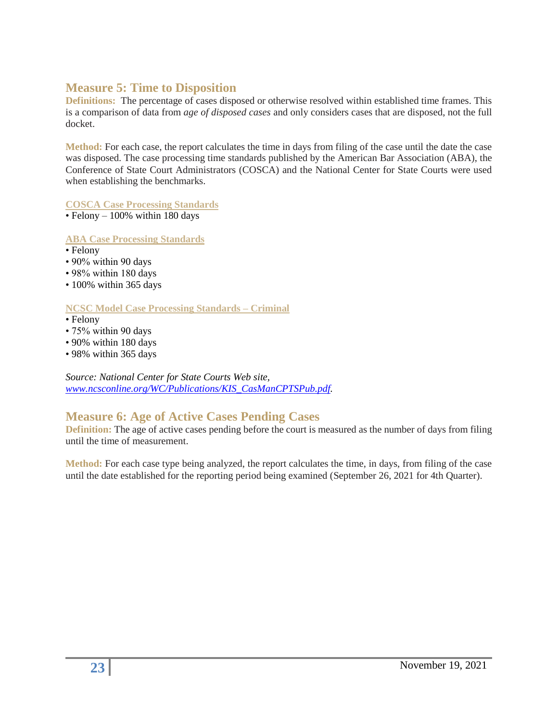### **Measure 5: Time to Disposition**

**Definitions:** The percentage of cases disposed or otherwise resolved within established time frames. This is a comparison of data from *age of disposed cases* and only considers cases that are disposed, not the full docket.

**Method:** For each case, the report calculates the time in days from filing of the case until the date the case was disposed. The case processing time standards published by the American Bar Association (ABA), the Conference of State Court Administrators (COSCA) and the National Center for State Courts were used when establishing the benchmarks.

**COSCA Case Processing Standards** 

 $\cdot$  Felony – 100% within 180 days

**ABA Case Processing Standards**

- Felony
- 90% within 90 days
- 98% within 180 days
- 100% within 365 days

#### **NCSC Model Case Processing Standards – Criminal**

- Felony
- 75% within 90 days
- 90% within 180 days
- 98% within 365 days

*Source: National Center for State Courts Web site, [www.ncsconline.org/WC/Publications/KIS\\_CasManCPTSPub.pdf.](http://www.ncsconline.org/WC/Publications/KIS_CasManCPTSPub.pdf)*

# **Measure 6: Age of Active Cases Pending Cases**

**Definition:** The age of active cases pending before the court is measured as the number of days from filing until the time of measurement.

**Method:** For each case type being analyzed, the report calculates the time, in days, from filing of the case until the date established for the reporting period being examined (September 26, 2021 for 4th Quarter).